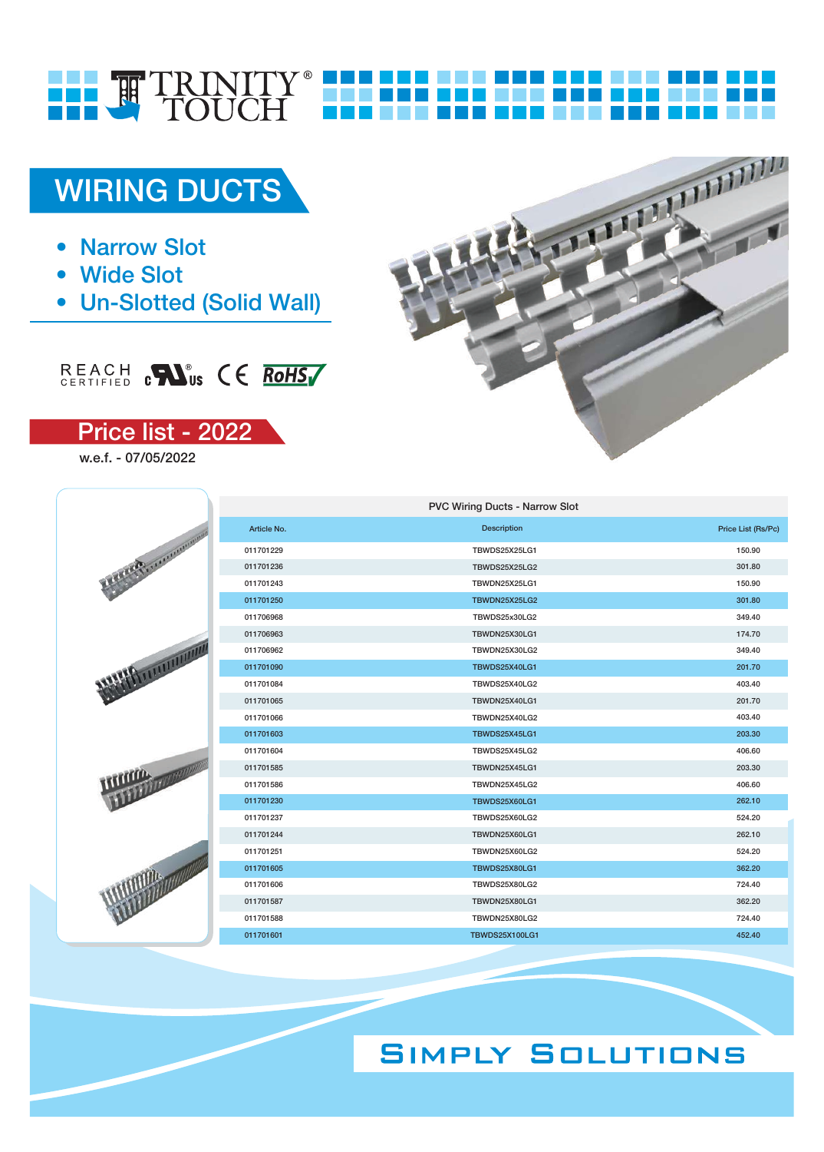

# **WIRING DUCTS**

- Narrow Slot
- Wide Slot
- Un-Slotted (Solid Wall)

## REACH CONS CE ROHS



w.e.f. - 07/05/2022

|                                | <b>PVC Wiring Ducts - Narrow Slot</b> |                       |                    |
|--------------------------------|---------------------------------------|-----------------------|--------------------|
| Carter Communication           | Article No.                           | <b>Description</b>    | Price List (Rs/Pc) |
|                                | 011701229                             | TBWDS25X25LG1         | 150.90             |
|                                | 011701236                             | TBWDS25X25LG2         | 301.80             |
|                                | 011701243                             | TBWDN25X25LG1         | 150.90             |
|                                | 011701250                             | TBWDN25X25LG2         | 301.80             |
|                                | 011706968                             | TBWDS25x30LG2         | 349.40             |
|                                | 011706963                             | TBWDN25X30LG1         | 174.70             |
|                                | 011706962                             | TBWDN25X30LG2         | 349.40             |
|                                | 011701090                             | TBWDS25X40LG1         | 201.70             |
| WHIP WWW                       | 011701084                             | TBWDS25X40LG2         | 403.40             |
|                                | 011701065                             | TBWDN25X40LG1         | 201.70             |
|                                | 011701066                             | TBWDN25X40LG2         | 403.40             |
|                                | 011701603                             | TBWDS25X45LG1         | 203.30             |
|                                | 011701604                             | TBWDS25X45LG2         | 406.60             |
| Within Brown                   | 011701585                             | TBWDN25X45LG1         | 203.30             |
|                                | 011701586                             | TBWDN25X45LG2         | 406.60             |
|                                | 011701230                             | <b>TBWDS25X60LG1</b>  | 262.10             |
|                                | 011701237                             | TBWDS25X60LG2         | 524.20             |
|                                | 011701244                             | TBWDN25X60LG1         | 262.10             |
|                                | 011701251                             | TBWDN25X60LG2         | 524.20             |
|                                | 011701605                             | TBWDS25X80LG1         | 362.20             |
|                                | 011701606                             | TBWDS25X80LG2         | 724.40             |
| WHAT THE TABLE TO BE THE TABLE | 011701587                             | TBWDN25X80LG1         | 362.20             |
|                                | 011701588                             | TBWDN25X80LG2         | 724.40             |
|                                | 011701601                             | <b>TBWDS25X100LG1</b> | 452.40             |
|                                |                                       |                       |                    |

## **SIMPLY SOLUTIONS**

THE PERSONS ASSESSED.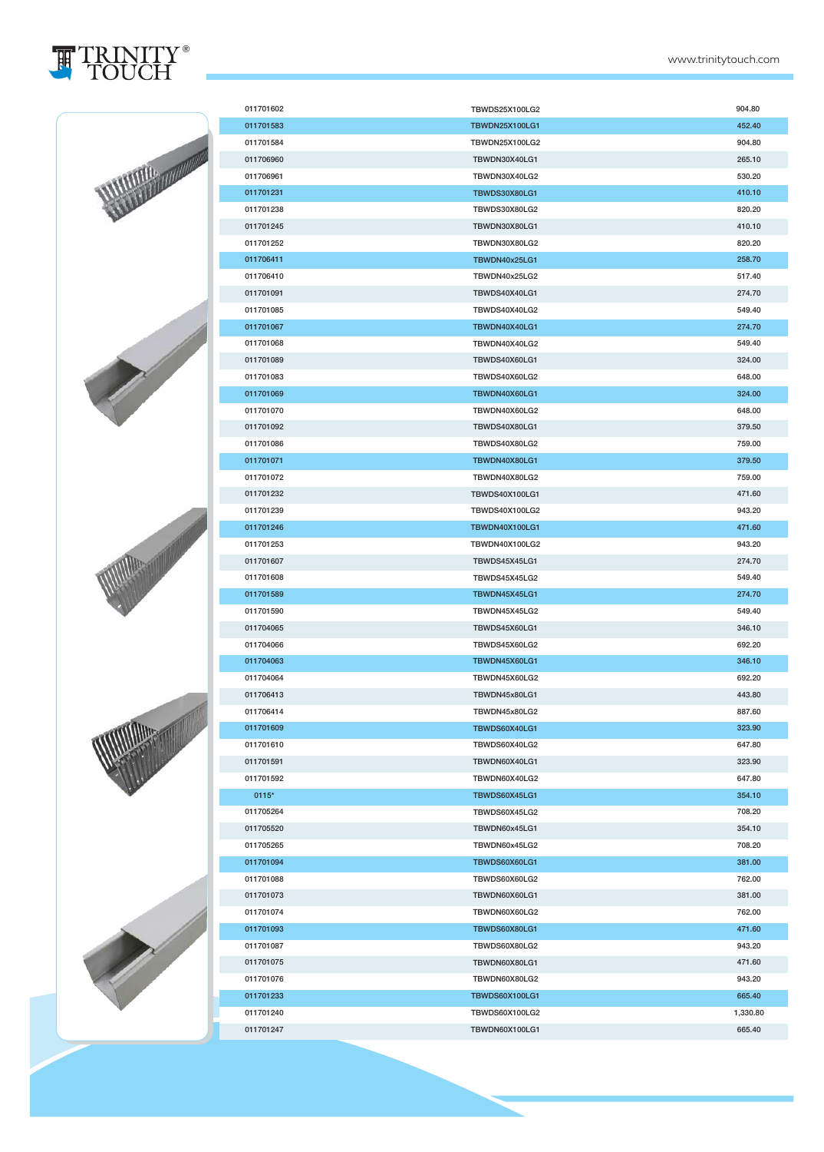



WWW.

**Millitary Mary Mary Mill** 

**Million** 

|  | 011701602              | TBWDS25X100LG2                 | 904.80           |
|--|------------------------|--------------------------------|------------------|
|  | 011701583              | <b>TBWDN25X100LG1</b>          | 452.40           |
|  | 011701584              | TBWDN25X100LG2                 | 904.80           |
|  | 011706960              | TBWDN30X40LG1                  | 265.10           |
|  | 011706961              | TBWDN30X40LG2                  | 530.20           |
|  | 011701231              | <b>TBWDS30X80LG1</b>           | 410.10           |
|  | 011701238              | TBWDS30X80LG2<br>TBWDN30X80LG1 | 820.20<br>410.10 |
|  | 011701245<br>011701252 | TBWDN30X80LG2                  | 820.20           |
|  | 011706411              |                                | 258.70           |
|  | 011706410              | TBWDN40x25LG1<br>TBWDN40x25LG2 | 517.40           |
|  | 011701091              | TBWDS40X40LG1                  | 274.70           |
|  | 011701085              | TBWDS40X40LG2                  | 549.40           |
|  | 011701067              | TBWDN40X40LG1                  | 274.70           |
|  | 011701068              | TBWDN40X40LG2                  | 549.40           |
|  | 011701089              | TBWDS40X60LG1                  | 324.00           |
|  |                        |                                | 648.00           |
|  | 011701083<br>011701069 | TBWDS40X60LG2                  | 324.00           |
|  | 011701070              | TBWDN40X60LG1<br>TBWDN40X60LG2 | 648.00           |
|  | 011701092              | TBWDS40X80LG1                  | 379.50           |
|  | 011701086              | TBWDS40X80LG2                  | 759.00           |
|  | 011701071              | TBWDN40X80LG1                  | 379.50           |
|  | 011701072              | TBWDN40X80LG2                  | 759.00           |
|  | 011701232              | <b>TBWDS40X100LG1</b>          | 471.60           |
|  | 011701239              | TBWDS40X100LG2                 | 943.20           |
|  | 011701246              | <b>TBWDN40X100LG1</b>          | 471.60           |
|  | 011701253              | TBWDN40X100LG2                 | 943.20           |
|  | 011701607              | TBWDS45X45LG1                  | 274.70           |
|  | 011701608              | TBWDS45X45LG2                  | 549.40           |
|  | 011701589              | TBWDN45X45LG1                  | 274.70           |
|  | 011701590              | TBWDN45X45LG2                  | 549.40           |
|  | 011704065              | TBWDS45X60LG1                  | 346.10           |
|  | 011704066              | TBWDS45X60LG2                  | 692.20           |
|  | 011704063              | TBWDN45X60LG1                  | 346.10           |
|  | 011704064              | TBWDN45X60LG2                  | 692.20           |
|  | 011706413              | TBWDN45x80LG1                  | 443.80           |
|  | 011706414              | TBWDN45x80LG2                  | 887.60           |
|  | 011701609              | TBWDS60X40LG1                  | 323.90           |
|  | 011701610              | TBWDS60X40LG2                  | 647.80           |
|  | 011701591              | TBWDN60X40LG1                  | 323.90           |
|  | 011701592              | TBWDN60X40LG2                  | 647.80           |
|  | $0115*$                | TBWDS60X45LG1                  | 354.10           |
|  | 011705264              | TBWDS60X45LG2                  | 708.20           |
|  | 011705520              | TBWDN60x45LG1                  | 354.10           |
|  | 011705265              | TBWDN60x45LG2                  | 708.20           |
|  | 011701094              | TBWDS60X60LG1                  | 381.00           |
|  | 011701088              | TBWDS60X60LG2                  | 762.00           |
|  | 011701073              | TBWDN60X60LG1                  | 381.00           |
|  | 011701074              | TBWDN60X60LG2                  | 762.00           |
|  | 011701093              | TBWDS60X80LG1                  | 471.60           |
|  | 011701087              | TBWDS60X80LG2                  | 943.20           |
|  | 011701075              | TBWDN60X80LG1                  | 471.60           |
|  | 011701076              | TBWDN60X80LG2                  | 943.20           |
|  | 011701233              | <b>TBWDS60X100LG1</b>          | 665.40           |
|  | 011701240              | <b>TBWDS60X100LG2</b>          | 1,330.80         |
|  | 011701247              | <b>TBWDN60X100LG1</b>          | 665.40           |
|  |                        |                                |                  |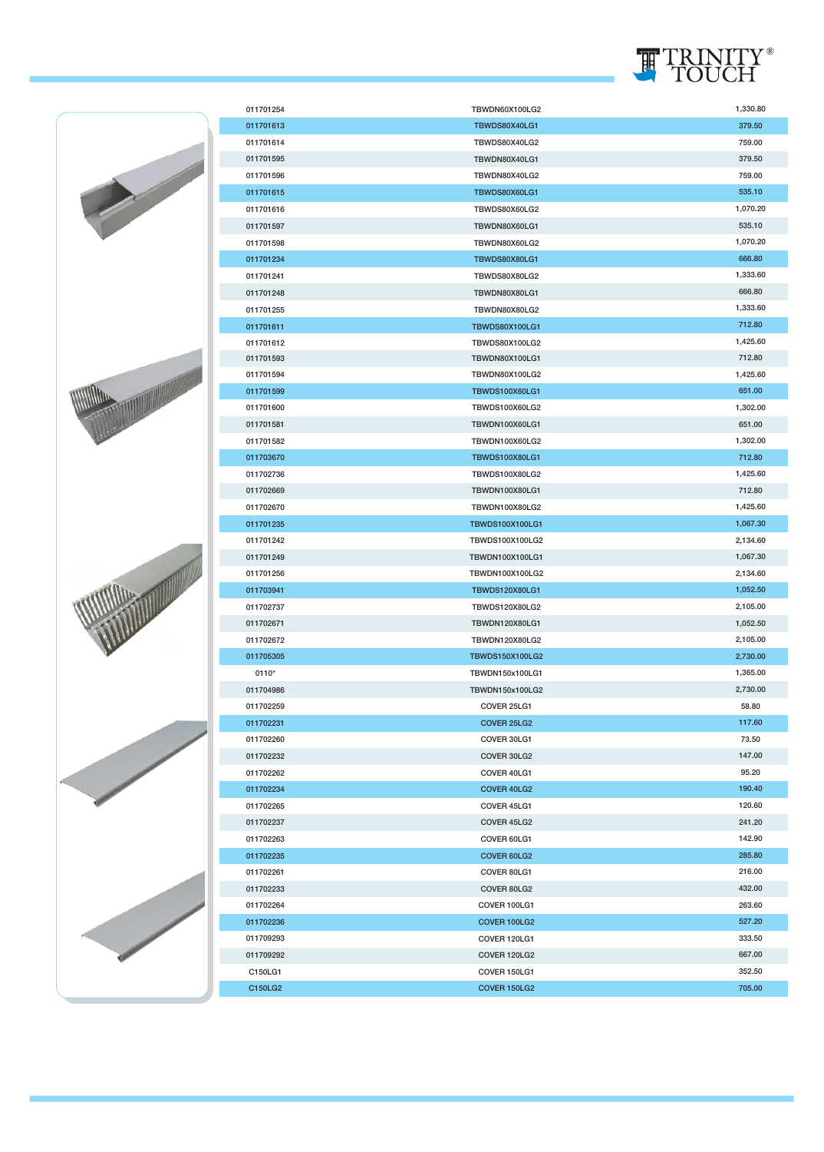

| 011701254 | TBWDN60X100LG2         | 1,330.80 |
|-----------|------------------------|----------|
| 011701613 | TBWDS80X40LG1          | 379.50   |
| 011701614 | TBWDS80X40LG2          | 759.00   |
| 011701595 | TBWDN80X40LG1          | 379.50   |
| 011701596 | TBWDN80X40LG2          | 759.00   |
| 011701615 | <b>TBWDS80X60LG1</b>   | 535.10   |
| 011701616 | TBWDS80X60LG2          | 1,070.20 |
| 011701597 | TBWDN80X60LG1          | 535.10   |
| 011701598 | TBWDN80X60LG2          | 1,070.20 |
| 011701234 | <b>TBWDS80X80LG1</b>   | 666.80   |
| 011701241 | TBWDS80X80LG2          | 1,333.60 |
| 011701248 | TBWDN80X80LG1          | 666.80   |
| 011701255 | TBWDN80X80LG2          | 1,333.60 |
| 011701611 | <b>TBWDS80X100LG1</b>  | 712.80   |
| 011701612 | TBWDS80X100LG2         | 1,425.60 |
| 011701593 | <b>TBWDN80X100LG1</b>  | 712.80   |
| 011701594 | TBWDN80X100LG2         | 1,425.60 |
| 011701599 | <b>TBWDS100X60LG1</b>  | 651.00   |
| 011701600 | TBWDS100X60LG2         | 1,302.00 |
| 011701581 | <b>TBWDN100X60LG1</b>  | 651.00   |
| 011701582 | TBWDN100X60LG2         | 1,302.00 |
| 011703670 | <b>TBWDS100X80LG1</b>  | 712.80   |
| 011702736 | TBWDS100X80LG2         | 1,425.60 |
| 011702669 | TBWDN100X80LG1         | 712.80   |
| 011702670 | TBWDN100X80LG2         | 1,425.60 |
| 011701235 | TBWDS100X100LG1        | 1,067.30 |
| 011701242 | TBWDS100X100LG2        | 2,134.60 |
| 011701249 | TBWDN100X100LG1        | 1,067.30 |
| 011701256 | TBWDN100X100LG2        | 2,134.60 |
| 011703941 | <b>TBWDS120X80LG1</b>  | 1,052.50 |
| 011702737 | TBWDS120X80LG2         | 2,105.00 |
| 011702671 | TBWDN120X80LG1         | 1,052.50 |
| 011702672 | TBWDN120X80LG2         | 2,105.00 |
| 011705305 | <b>TBWDS150X100LG2</b> | 2,730.00 |
| 0110*     | TBWDN150x100LG1        | 1,365.00 |
| 011704986 | TBWDN150x100LG2        | 2,730.00 |
| 011702259 | COVER 25LG1            | 58.80    |
| 011702231 | COVER 25LG2            | 117.60   |
| 011702260 | COVER 30LG1            | 73.50    |
| 011702232 | COVER 30LG2            | 147.00   |
| 011702262 | COVER 40LG1            | 95.20    |
| 011702234 | COVER 40LG2            | 190.40   |
| 011702265 | COVER 45LG1            | 120.60   |
| 011702237 | COVER 45LG2            | 241.20   |
| 011702263 | COVER 60LG1            | 142.90   |
| 011702235 | COVER 60LG2            | 285.80   |
| 011702261 | COVER 80LG1            | 216.00   |
| 011702233 | COVER 80LG2            | 432.00   |
| 011702264 | COVER 100LG1           | 263.60   |
| 011702236 | COVER 100LG2           | 527.20   |
| 011709293 | COVER 120LG1           | 333.50   |
| 011709292 | COVER 120LG2           | 667.00   |
| C150LG1   | COVER 150LG1           | 352.50   |
| C150LG2   | <b>COVER 150LG2</b>    | 705.00   |